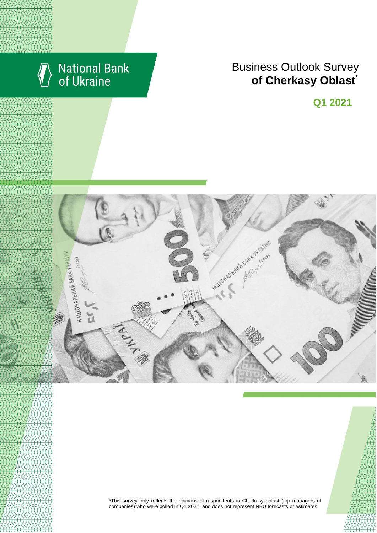

# **National Bank**<br>of Ukraine

## **Rusiness Outlook Survey**  $\bullet$  of Cherkasy Oblast<sup>\*</sup> області щодо їх ділових очікувань та повідкань business expectations \*

**Q1 2021**



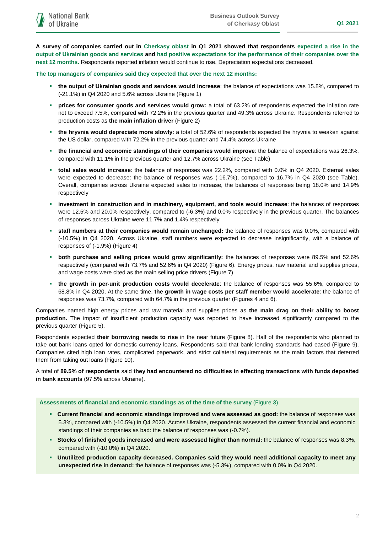**A survey of companies carried out in Cherkasy oblast in Q1 2021 showed that respondents expected a rise in the output of Ukrainian goods and services and had positive expectations for the performance of their companies over the next 12 months.** Respondents reported inflation would continue to rise. Depreciation expectations decreased.

**The top managers of companies said they expected that over the next 12 months:**

- **the output of Ukrainian goods and services would increase**: the balance of expectations was 15.8%, compared to (-21.1%) in Q4 2020 and 5.6% across Ukraine (Figure 1)
- **prices for consumer goods and services would grow:** a total of 63.2% of respondents expected the inflation rate not to exceed 7.5%, compared with 72.2% in the previous quarter and 49.3% across Ukraine. Respondents referred to production costs as **the main inflation driver** (Figure 2)
- **the hryvnia would depreciate more slowly:** a total of 52.6% of respondents expected the hryvnia to weaken against the US dollar, compared with 72.2% in the previous quarter and 74.4% across Ukraine
- **the financial and economic standings of their companies would improve**: the balance of expectations was 26.3%, compared with 11.1% in the previous quarter and 12.7% across Ukraine (see Table)
- **total sales would increase**: the balance of responses was 22.2%, compared with 0.0% in Q4 2020. External sales were expected to decrease: the balance of responses was (-16.7%), compared to 16.7% in Q4 2020 (see Table). Overall, companies across Ukraine expected sales to increase, the balances of responses being 18.0% and 14.9% respectively
- **investment in construction and in machinery, equipment, and tools would increase**: the balances of responses were 12.5% and 20.0% respectively, compared to (-6.3%) and 0.0% respectively in the previous quarter. The balances of responses across Ukraine were 11.7% and 1.4% respectively
- **staff numbers at their companies would remain unchanged:** the balance of responses was 0.0%, compared with (-10.5%) in Q4 2020. Across Ukraine, staff numbers were expected to decrease insignificantly, with a balance of responses of (-1.9%) (Figure 4)
- **both purchase and selling prices would grow significantly:** the balances of responses were 89.5% and 52.6% respectively (compared with 73.7% and 52.6% in Q4 2020) (Figure 6). Energy prices, raw material and supplies prices, and wage costs were cited as the main selling price drivers (Figure 7)
- **the growth in per-unit production costs would decelerate**: the balance of responses was 55.6%, compared to 68.8% in Q4 2020. At the same time, **the growth in wage costs per staff member would accelerate**: the balance of responses was 73.7%, compared with 64.7% in the previous quarter (Figures 4 and 6).

Companies named high energy prices and raw material and supplies prices as **the main drag on their ability to boost production.** The impact of insufficient production capacity was reported to have increased significantly compared to the previous quarter (Figure 5).

Respondents expected **their borrowing needs to rise** in the near future (Figure 8). Half of the respondents who planned to take out bank loans opted for domestic currency loans. Respondents said that bank lending standards had eased (Figure 9). Companies cited high loan rates, complicated paperwork, and strict collateral requirements as the main factors that deterred them from taking out loans (Figure 10).

A total of **89.5% of respondents** said **they had encountered no difficulties in effecting transactions with funds deposited in bank accounts** (97.5% across Ukraine).

#### **Assessments of financial and economic standings as of the time of the survey** (Figure 3)

- **Current financial and economic standings improved and were assessed as good:** the balance of responses was 5.3%, compared with (-10.5%) in Q4 2020. Across Ukraine, respondents assessed the current financial and economic standings of their companies as bad: the balance of responses was (-0.7%).
- **Stocks of finished goods increased and were assessed higher than normal:** the balance of responses was 8.3%, compared with (-10.0%) in Q4 2020.
- **Unutilized production capacity decreased. Companies said they would need additional capacity to meet any unexpected rise in demand:** the balance of responses was (-5.3%), compared with 0.0% in Q4 2020.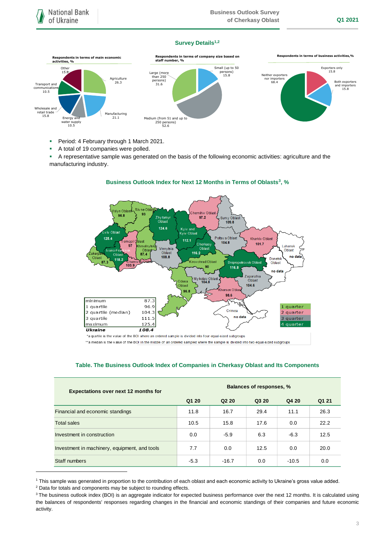#### **Survey Details1,2**



- **Period: 4 February through 1 March 2021.**
- A total of 19 companies were polled.
- A representative sample was generated on the basis of the following economic activities: agriculture and the manufacturing industry.



## **Business Outlook Index for Next 12 Months in Terms of Oblasts<sup>3</sup> , %**

\*a quartile is the value of the BOI where an ordered sample is divided into four equal-sized subgroups

\*\*a median is the value of the BOI in the middle of an ordered sampled where the sample is divided into two equal-sized subgroups

| <b>Expectations over next 12 months for</b>   | <b>Balances of responses, %</b> |                               |       |         |       |
|-----------------------------------------------|---------------------------------|-------------------------------|-------|---------|-------|
|                                               | Q1 20                           | Q <sub>2</sub> 2 <sub>0</sub> | Q3 20 | Q4 20   | Q1 21 |
| Financial and economic standings              | 11.8                            | 16.7                          | 29.4  | 11.1    | 26.3  |
| <b>Total sales</b>                            | 10.5                            | 15.8                          | 17.6  | 0.0     | 22.2  |
| Investment in construction                    | 0.0                             | $-5.9$                        | 6.3   | $-6.3$  | 12.5  |
| Investment in machinery, equipment, and tools | 7.7                             | 0.0                           | 12.5  | 0.0     | 20.0  |
| Staff numbers                                 | $-5.3$                          | $-16.7$                       | 0.0   | $-10.5$ | 0.0   |

#### **Table. The Business Outlook Index of Companies in Cherkasy Oblast and Its Components**

1

<sup>1</sup> This sample was generated in proportion to the contribution of each oblast and each economic activity to Ukraine's gross value added.

<sup>&</sup>lt;sup>2</sup> Data for totals and components may be subject to rounding effects.

<sup>&</sup>lt;sup>3</sup> The business outlook index (BOI) is an aggregate indicator for expected business performance over the next 12 months. It is calculated using the balances of respondents' responses regarding changes in the financial and economic standings of their companies and future economic activity.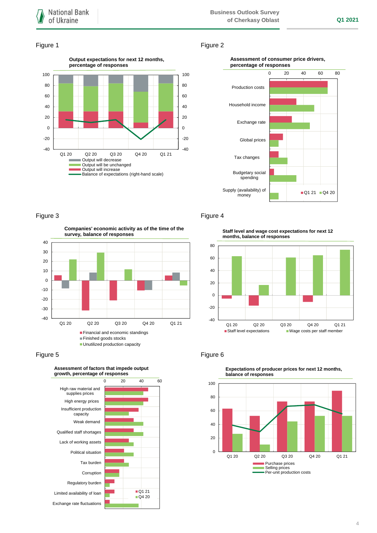#### Figure 1 Figure 2



#### **Assessment of consumer price drivers, percentage of responses**



**Companies' economic activity as of the time of the survey, balance of responses**



#### Figure 5 **Figure 6**



### Figure 3 **Figure 4**

**Staff level and wage cost expectations for next 12 months, balance of responses**





**Expectations of producer prices for next 12 months,**